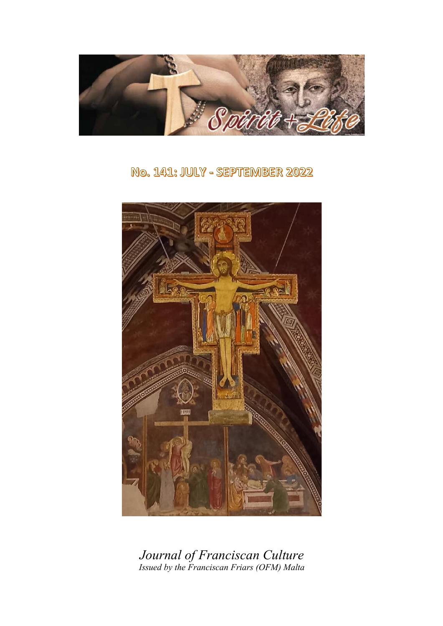

No. 141: JULY - SEPTEMBER 2022



*Journal of Franciscan Culture Issued by the Franciscan Friars (OFM) Malta*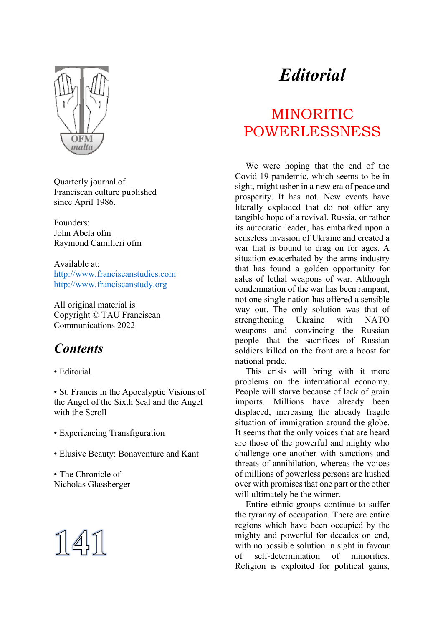

Quarterly journal of Franciscan culture published since April 1986.

Founders: John Abela ofm Raymond Camilleri ofm

Available at: http://www.franciscanstudies.com http://www.franciscanstudy.org

All original material is Copyright © TAU Franciscan Communications 2022

## *Contents*

#### • Editorial

• St. Francis in the Apocalyptic Visions of the Angel of the Sixth Seal and the Angel with the Scroll

- Experiencing Transfiguration
- Elusive Beauty: Bonaventure and Kant

• The Chronicle of Nicholas Glassberger



# *Editorial*

## MINORITIC POWERLESSNESS

We were hoping that the end of the Covid-19 pandemic, which seems to be in sight, might usher in a new era of peace and prosperity. It has not. New events have literally exploded that do not offer any tangible hope of a revival. Russia, or rather its autocratic leader, has embarked upon a senseless invasion of Ukraine and created a war that is bound to drag on for ages. A situation exacerbated by the arms industry that has found a golden opportunity for sales of lethal weapons of war. Although condemnation of the war has been rampant, not one single nation has offered a sensible way out. The only solution was that of strengthening Ukraine with NATO weapons and convincing the Russian people that the sacrifices of Russian soldiers killed on the front are a boost for national pride.

This crisis will bring with it more problems on the international economy. People will starve because of lack of grain imports. Millions have already been displaced, increasing the already fragile situation of immigration around the globe. It seems that the only voices that are heard are those of the powerful and mighty who challenge one another with sanctions and threats of annihilation, whereas the voices of millions of powerless persons are hushed over with promises that one part or the other will ultimately be the winner.

Entire ethnic groups continue to suffer the tyranny of occupation. There are entire regions which have been occupied by the mighty and powerful for decades on end, with no possible solution in sight in favour of self-determination of minorities. Religion is exploited for political gains,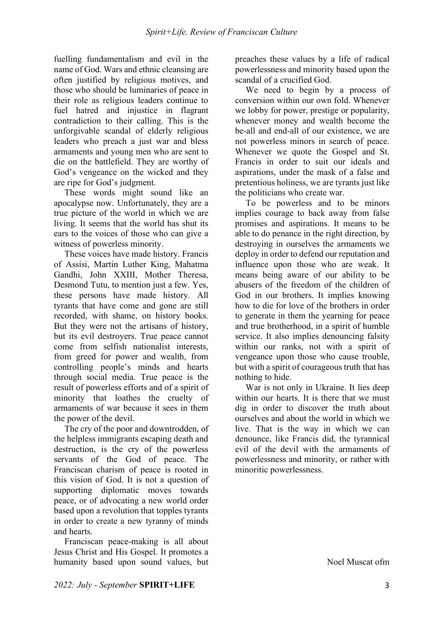fuelling fundamentalism and evil in the name of God. Wars and ethnic cleansing are often justified by religious motives, and those who should be luminaries of peace in their role as religious leaders continue to fuel hatred and injustice in flagrant contradiction to their calling. This is the unforgivable scandal of elderly religious leaders who preach a just war and bless armaments and young men who are sent to die on the battlefield. They are worthy of God's vengeance on the wicked and they are ripe for God's judgment.

These words might sound like an apocalypse now. Unfortunately, they are a true picture of the world in which we are living. It seems that the world has shut its ears to the voices of those who can give a witness of powerless minority.

These voices have made history. Francis of Assisi, Martin Luther King, Mahatma Gandhi, John XXIII, Mother Theresa, Desmond Tutu, to mention just a few. Yes, these persons have made history. All tyrants that have come and gone are still recorded, with shame, on history books. But they were not the artisans of history, but its evil destroyers. True peace cannot come from selfish nationalist interests, from greed for power and wealth, from controlling people's minds and hearts through social media. True peace is the result of powerless efforts and of a spirit of minority that loathes the cruelty of armaments of war because it sees in them the power of the devil.

The cry of the poor and downtrodden, of the helpless immigrants escaping death and destruction, is the cry of the powerless servants of the God of peace. The Franciscan charism of peace is rooted in this vision of God. It is not a question of supporting diplomatic moves towards peace, or of advocating a new world order based upon a revolution that topples tyrants in order to create a new tyranny of minds and hearts.

Franciscan peace-making is all about Jesus Christ and His Gospel. It promotes a humanity based upon sound values, but preaches these values by a life of radical powerlessness and minority based upon the scandal of a crucified God.

We need to begin by a process of conversion within our own fold. Whenever we lobby for power, prestige or popularity, whenever money and wealth become the be-all and end-all of our existence, we are not powerless minors in search of peace. Whenever we quote the Gospel and St. Francis in order to suit our ideals and aspirations, under the mask of a false and pretentious holiness, we are tyrants just like the politicians who create war.

To be powerless and to be minors implies courage to back away from false promises and aspirations. It means to be able to do penance in the right direction, by destroying in ourselves the armaments we deploy in order to defend our reputation and influence upon those who are weak. It means being aware of our ability to be abusers of the freedom of the children of God in our brothers. It implies knowing how to die for love of the brothers in order to generate in them the yearning for peace and true brotherhood, in a spirit of humble service. It also implies denouncing falsity within our ranks, not with a spirit of vengeance upon those who cause trouble, but with a spirit of courageous truth that has nothing to hide.

War is not only in Ukraine. It lies deep within our hearts. It is there that we must dig in order to discover the truth about ourselves and about the world in which we live. That is the way in which we can denounce, like Francis did, the tyrannical evil of the devil with the armaments of powerlessness and minority, or rather with minoritic powerlessness.

Noel Muscat ofm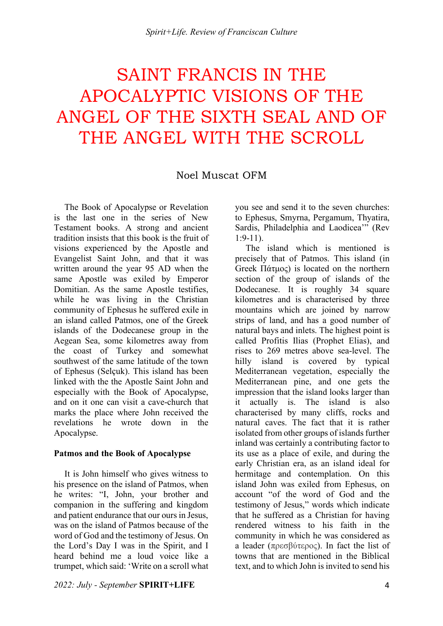# SAINT FRANCIS IN THE APOCALYPTIC VISIONS OF THE ANGEL OF THE SIXTH SEAL AND OF THE ANGEL WITH THE SCROLL

## Noel Muscat OFM

The Book of Apocalypse or Revelation is the last one in the series of New Testament books. A strong and ancient tradition insists that this book is the fruit of visions experienced by the Apostle and Evangelist Saint John, and that it was written around the year 95 AD when the same Apostle was exiled by Emperor Domitian. As the same Apostle testifies, while he was living in the Christian community of Ephesus he suffered exile in an island called Patmos, one of the Greek islands of the Dodecanese group in the Aegean Sea, some kilometres away from the coast of Turkey and somewhat southwest of the same latitude of the town of Ephesus (Selçuk). This island has been linked with the the Apostle Saint John and especially with the Book of Apocalypse, and on it one can visit a cave-church that marks the place where John received the revelations he wrote down in the Apocalypse.

#### **Patmos and the Book of Apocalypse**

It is John himself who gives witness to his presence on the island of Patmos, when he writes: "I, John, your brother and companion in the suffering and kingdom and patient endurance that our ours in Jesus, was on the island of Patmos because of the word of God and the testimony of Jesus. On the Lord's Day I was in the Spirit, and I heard behind me a loud voice like a trumpet, which said: 'Write on a scroll what you see and send it to the seven churches: to Ephesus, Smyrna, Pergamum, Thyatira, Sardis, Philadelphia and Laodicea'" (Rev  $1.9 - 11$ 

The island which is mentioned is precisely that of Patmos. This island (in Greek Πάτµος) is located on the northern section of the group of islands of the Dodecanese. It is roughly 34 square kilometres and is characterised by three mountains which are joined by narrow strips of land, and has a good number of natural bays and inlets. The highest point is called Profitis Ilias (Prophet Elias), and rises to 269 metres above sea-level. The hilly island is covered by typical Mediterranean vegetation, especially the Mediterranean pine, and one gets the impression that the island looks larger than it actually is. The island is also characterised by many cliffs, rocks and natural caves. The fact that it is rather isolated from other groups of islands further inland was certainly a contributing factor to its use as a place of exile, and during the early Christian era, as an island ideal for hermitage and contemplation. On this island John was exiled from Ephesus, on account "of the word of God and the testimony of Jesus," words which indicate that he suffered as a Christian for having rendered witness to his faith in the community in which he was considered as a leader (πρεσβύτερος). In fact the list of towns that are mentioned in the Biblical text, and to which John is invited to send his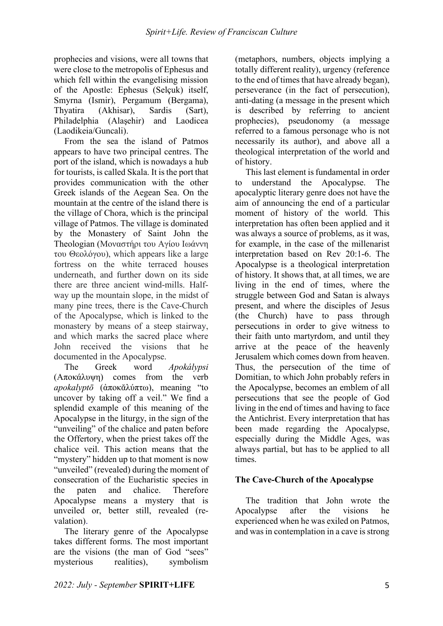prophecies and visions, were all towns that were close to the metropolis of Ephesus and which fell within the evangelising mission of the Apostle: Ephesus (Selçuk) itself, Smyrna (Ismir), Pergamum (Bergama), Thyatira (Akhisar), Sardis (Sart), Philadelphia (Alaşehir) and Laodicea (Laodikeia/Guncali).

From the sea the island of Patmos appears to have two principal centres. The port of the island, which is nowadays a hub for tourists, is called Skala. It is the port that provides communication with the other Greek islands of the Aegean Sea. On the mountain at the centre of the island there is the village of Chora, which is the principal village of Patmos. The village is dominated by the Monastery of Saint John the Theologian (Μοναστήρι του Αγίου Ιωάννη του Θεολόγου), which appears like a large fortress on the white terraced houses underneath, and further down on its side there are three ancient wind-mills. Halfway up the mountain slope, in the midst of many pine trees, there is the Cave-Church of the Apocalypse, which is linked to the monastery by means of a steep stairway, and which marks the sacred place where John received the visions that he documented in the Apocalypse.

The Greek word *Apokálypsi* (Αποκάλυψη) comes from the verb *apokalyptō* (ἀποκᾰλύπτω), meaning "to uncover by taking off a veil." We find a splendid example of this meaning of the Apocalypse in the liturgy, in the sign of the "unveiling" of the chalice and paten before the Offertory, when the priest takes off the chalice veil. This action means that the "mystery" hidden up to that moment is now "unveiled" (revealed) during the moment of consecration of the Eucharistic species in the paten and chalice. Therefore Apocalypse means a mystery that is unveiled or, better still, revealed (revalation).

The literary genre of the Apocalypse takes different forms. The most important are the visions (the man of God "sees" mysterious realities), symbolism (metaphors, numbers, objects implying a totally different reality), urgency (reference to the end of times that have already began), perseverance (in the fact of persecution), anti-dating (a message in the present which is described by referring to ancient prophecies), pseudonomy (a message referred to a famous personage who is not necessarily its author), and above all a theological interpretation of the world and of history.

This last element is fundamental in order to understand the Apocalypse. The apocalyptic literary genre does not have the aim of announcing the end of a particular moment of history of the world. This interpretation has often been applied and it was always a source of problems, as it was, for example, in the case of the millenarist interpretation based on Rev 20:1-6. The Apocalypse is a theological interpretation of history. It shows that, at all times, we are living in the end of times, where the struggle between God and Satan is always present, and where the disciples of Jesus (the Church) have to pass through persecutions in order to give witness to their faith unto martyrdom, and until they arrive at the peace of the heavenly Jerusalem which comes down from heaven. Thus, the persecution of the time of Domitian, to which John probably refers in the Apocalypse, becomes an emblem of all persecutions that see the people of God living in the end of times and having to face the Antichrist. Every interpretation that has been made regarding the Apocalypse, especially during the Middle Ages, was always partial, but has to be applied to all times.

### **The Cave-Church of the Apocalypse**

The tradition that John wrote the Apocalypse after the visions he experienced when he was exiled on Patmos, and was in contemplation in a cave is strong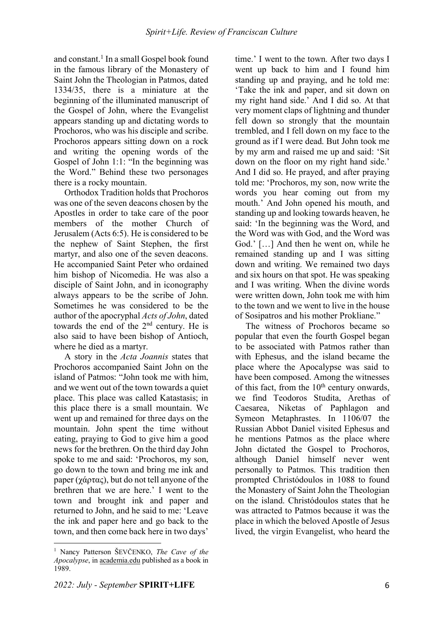and constant.<sup>1</sup> In a small Gospel book found in the famous library of the Monastery of Saint John the Theologian in Patmos, dated 1334/35, there is a miniature at the beginning of the illuminated manuscript of the Gospel of John, where the Evangelist appears standing up and dictating words to Prochoros, who was his disciple and scribe. Prochoros appears sitting down on a rock and writing the opening words of the Gospel of John 1:1: "In the beginning was the Word." Behind these two personages there is a rocky mountain.

Orthodox Tradition holds that Prochoros was one of the seven deacons chosen by the Apostles in order to take care of the poor members of the mother Church of Jerusalem (Acts 6:5). He is considered to be the nephew of Saint Stephen, the first martyr, and also one of the seven deacons. He accompanied Saint Peter who ordained him bishop of Nicomedia. He was also a disciple of Saint John, and in iconography always appears to be the scribe of John. Sometimes he was considered to be the author of the apocryphal *Acts of John*, dated towards the end of the 2nd century. He is also said to have been bishop of Antioch, where he died as a martyr.

A story in the *Acta Joannis* states that Prochoros accompanied Saint John on the island of Patmos: "John took me with him, and we went out of the town towards a quiet place. This place was called Katastasis; in this place there is a small mountain. We went up and remained for three days on the mountain. John spent the time without eating, praying to God to give him a good news for the brethren. On the third day John spoke to me and said: 'Prochoros, my son, go down to the town and bring me ink and paper (χάρτας), but do not tell anyone of the brethren that we are here.' I went to the town and brought ink and paper and returned to John, and he said to me: 'Leave the ink and paper here and go back to the town, and then come back here in two days'

time.' I went to the town. After two days I went up back to him and I found him standing up and praying, and he told me: 'Take the ink and paper, and sit down on my right hand side.' And I did so. At that very moment claps of lightning and thunder fell down so strongly that the mountain trembled, and I fell down on my face to the ground as if I were dead. But John took me by my arm and raised me up and said: 'Sit down on the floor on my right hand side.' And I did so. He prayed, and after praying told me: 'Prochoros, my son, now write the words you hear coming out from my mouth.' And John opened his mouth, and standing up and looking towards heaven, he said: 'In the beginning was the Word, and the Word was with God, and the Word was God.' […] And then he went on, while he remained standing up and I was sitting down and writing. We remained two days and six hours on that spot. He was speaking and I was writing. When the divine words were written down, John took me with him to the town and we went to live in the house of Sosipatros and his mother Prokliane."

The witness of Prochoros became so popular that even the fourth Gospel began to be associated with Patmos rather than with Ephesus, and the island became the place where the Apocalypse was said to have been composed. Among the witnesses of this fact, from the  $10<sup>th</sup>$  century onwards, we find Teodoros Studita, Arethas of Caesarea, Niketas of Paphlagon and Symeon Metaphrastes. In 1106/07 the Russian Abbot Daniel visited Ephesus and he mentions Patmos as the place where John dictated the Gospel to Prochoros, although Daniel himself never went personally to Patmos. This tradition then prompted Christódoulos in 1088 to found the Monastery of Saint John the Theologian on the island. Christódoulos states that he was attracted to Patmos because it was the place in which the beloved Apostle of Jesus lived, the virgin Evangelist, who heard the

<sup>1</sup> Nancy Patterson ŠEVČENKO, *The Cave of the Apocalypse*, in academia.edu published as a book in 1989.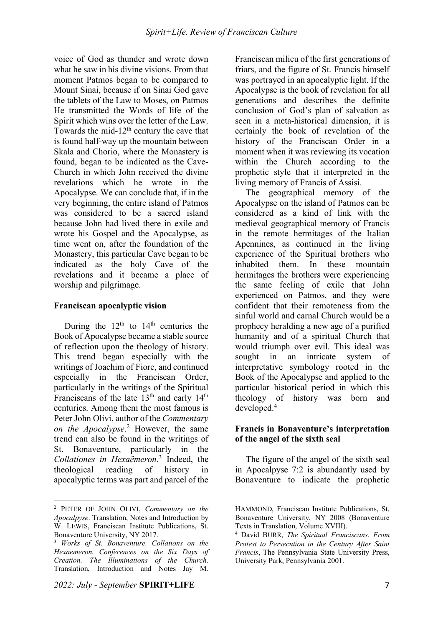voice of God as thunder and wrote down what he saw in his divine visions. From that moment Patmos began to be compared to Mount Sinai, because if on Sinai God gave the tablets of the Law to Moses, on Patmos He transmitted the Words of life of the Spirit which wins over the letter of the Law. Towards the mid- $12<sup>th</sup>$  century the cave that is found half-way up the mountain between Skala and Chorio, where the Monastery is found, began to be indicated as the Cave-Church in which John received the divine revelations which he wrote in the Apocalypse. We can conclude that, if in the very beginning, the entire island of Patmos was considered to be a sacred island because John had lived there in exile and wrote his Gospel and the Apocalypse, as time went on, after the foundation of the Monastery, this particular Cave began to be indicated as the holy Cave of the revelations and it became a place of worship and pilgrimage.

### **Franciscan apocalyptic vision**

During the  $12<sup>th</sup>$  to  $14<sup>th</sup>$  centuries the Book of Apocalypse became a stable source of reflection upon the theology of history. This trend began especially with the writings of Joachim of Fiore, and continued especially in the Franciscan Order, particularly in the writings of the Spiritual Franciscans of the late 13<sup>th</sup> and early 14<sup>th</sup> centuries. Among them the most famous is Peter John Olivi, author of the *Commentary on the Apocalypse*. <sup>2</sup> However, the same trend can also be found in the writings of St. Bonaventure, particularly in the *Collationes in Hexaëmeron*. <sup>3</sup> Indeed, the theological reading of history in apocalyptic terms was part and parcel of the

 $\overline{a}$ 

Franciscan milieu of the first generations of friars, and the figure of St. Francis himself was portrayed in an apocalyptic light. If the Apocalypse is the book of revelation for all generations and describes the definite conclusion of God's plan of salvation as seen in a meta-historical dimension, it is certainly the book of revelation of the history of the Franciscan Order in a moment when it was reviewing its vocation within the Church according to the prophetic style that it interpreted in the living memory of Francis of Assisi.

The geographical memory of the Apocalypse on the island of Patmos can be considered as a kind of link with the medieval geographical memory of Francis in the remote hermitages of the Italian Apennines, as continued in the living experience of the Spiritual brothers who inhabited them. In these mountain hermitages the brothers were experiencing the same feeling of exile that John experienced on Patmos, and they were confident that their remoteness from the sinful world and carnal Church would be a prophecy heralding a new age of a purified humanity and of a spiritual Church that would triumph over evil. This ideal was sought in an intricate system of interpretative symbology rooted in the Book of the Apocalypse and applied to the particular historical period in which this theology of history was born and developed.4

#### **Francis in Bonaventure's interpretation of the angel of the sixth seal**

The figure of the angel of the sixth seal in Apocalpyse 7:2 is abundantly used by Bonaventure to indicate the prophetic

<sup>2</sup> PETER OF JOHN OLIVI, *Commentary on the Apocalpyse*. Translation, Notes and Introduction by W. LEWIS, Franciscan Institute Publications, St. Bonaventure University, NY 2017.

<sup>3</sup> *Works of St. Bonaventure. Collations on the Hexaemeron. Conferences on the Six Days of Creation. The Illuminations of the Church*. Translation, Introduction and Notes Jay M.

HAMMOND, Franciscan Institute Publications, St. Bonaventure University, NY 2008 (Bonaventure Texts in Translation, Volume XVIII).

<sup>4</sup> David BURR, *The Spiritual Franciscans. From Protest to Persecution in the Century After Saint Francis*, The Pennsylvania State University Press, University Park, Pennsylvania 2001.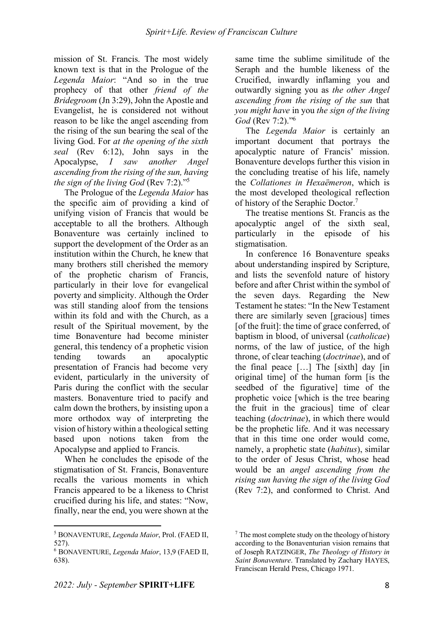mission of St. Francis. The most widely known text is that in the Prologue of the *Legenda Maior*: "And so in the true prophecy of that other *friend of the Bridegroom* (Jn 3:29), John the Apostle and Evangelist, he is considered not without reason to be like the angel ascending from the rising of the sun bearing the seal of the living God. For *at the opening of the sixth seal* (Rev 6:12), John says in the Apocalypse, *I saw another Angel ascending from the rising of the sun, having the sign of the living God* (Rev 7:2)."5

The Prologue of the *Legenda Maior* has the specific aim of providing a kind of unifying vision of Francis that would be acceptable to all the brothers. Although Bonaventure was certainly inclined to support the development of the Order as an institution within the Church, he knew that many brothers still cherished the memory of the prophetic charism of Francis, particularly in their love for evangelical poverty and simplicity. Although the Order was still standing aloof from the tensions within its fold and with the Church, as a result of the Spiritual movement, by the time Bonaventure had become minister general, this tendency of a prophetic vision tending towards an apocalyptic presentation of Francis had become very evident, particularly in the university of Paris during the conflict with the secular masters. Bonaventure tried to pacify and calm down the brothers, by insisting upon a more orthodox way of interpreting the vision of history within a theological setting based upon notions taken from the Apocalypse and applied to Francis.

When he concludes the episode of the stigmatisation of St. Francis, Bonaventure recalls the various moments in which Francis appeared to be a likeness to Christ crucified during his life, and states: "Now, finally, near the end, you were shown at the same time the sublime similitude of the Seraph and the humble likeness of the Crucified, inwardly inflaming you and outwardly signing you as *the other Angel ascending from the rising of the sun* that *you might have* in you *the sign of the living God* (Rev 7:2)."6

The *Legenda Maior* is certainly an important document that portrays the apocalyptic nature of Francis' mission. Bonaventure develops further this vision in the concluding treatise of his life, namely the *Collationes in Hexaëmeron*, which is the most developed theological reflection of history of the Seraphic Doctor.7

The treatise mentions St. Francis as the apocalyptic angel of the sixth seal, particularly in the episode of his stigmatisation.

In conference 16 Bonaventure speaks about understanding inspired by Scripture, and lists the sevenfold nature of history before and after Christ within the symbol of the seven days. Regarding the New Testament he states: "In the New Testament there are similarly seven [gracious] times [of the fruit]: the time of grace conferred, of baptism in blood, of universal (*catholicae*) norms, of the law of justice, of the high throne, of clear teaching (*doctrinae*), and of the final peace […] The [sixth] day [in original time] of the human form [is the seedbed of the figurative] time of the prophetic voice [which is the tree bearing the fruit in the gracious] time of clear teaching (*doctrinae*), in which there would be the prophetic life. And it was necessary that in this time one order would come, namely, a prophetic state (*habitus*), similar to the order of Jesus Christ, whose head would be an *angel ascending from the rising sun having the sign of the living God*  (Rev 7:2), and conformed to Christ. And

<sup>5</sup> BONAVENTURE, *Legenda Maior*, Prol. (FAED II, 527).

<sup>6</sup> BONAVENTURE, *Legenda Maior*, 13,9 (FAED II, 638).

<sup>7</sup> The most complete study on the theology of history according to the Bonaventurian vision remains that of Joseph RATZINGER, *The Theology of History in Saint Bonaventure*. Translated by Zachary HAYES, Franciscan Herald Press, Chicago 1971.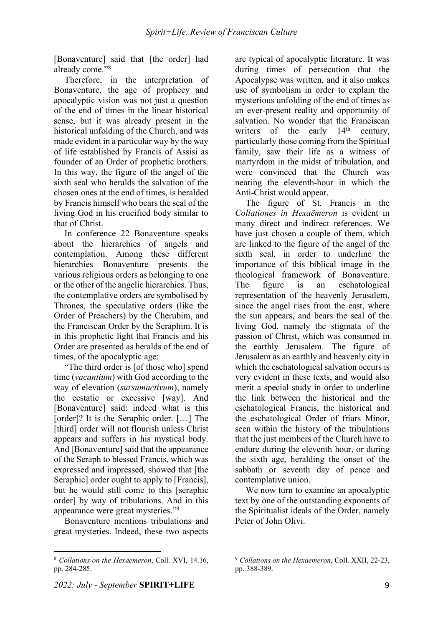[Bonaventure] said that [the order] had already come."8

Therefore, in the interpretation of Bonaventure, the age of prophecy and apocalyptic vision was not just a question of the end of times in the linear historical sense, but it was already present in the historical unfolding of the Church, and was made evident in a particular way by the way of life established by Francis of Assisi as founder of an Order of prophetic brothers. In this way, the figure of the angel of the sixth seal who heralds the salvation of the chosen ones at the end of times, is heralded by Francis himself who bears the seal of the living God in his crucified body similar to that of Christ.

In conference 22 Bonaventure speaks about the hierarchies of angels and contemplation. Among these different hierarchies Bonaventure presents the various religious orders as belonging to one or the other of the angelic hierarchies. Thus, the contemplative orders are symbolised by Thrones, the speculative orders (like the Order of Preachers) by the Cherubim, and the Franciscan Order by the Seraphim. It is in this prophetic light that Francis and his Order are presented as heralds of the end of times, of the apocalyptic age:

"The third order is [of those who] spend time (*vacantium*) with God according to the way of elevation (*sursumactivum*), namely the ecstatic or excessive [way]. And [Bonaventure] said: indeed what is this [order]? It is the Seraphic order. […] The [third] order will not flourish unless Christ] appears and suffers in his mystical body. And [Bonaventure] said that the appearance of the Seraph to blessed Francis, which was expressed and impressed, showed that [the Seraphic] order ought to apply to [Francis]. but he would still come to this [seraphic order] by way of tribulations. And in this appearance were great mysteries."9

Bonaventure mentions tribulations and great mysteries. Indeed, these two aspects are typical of apocalyptic literature. It was during times of persecution that the Apocalypse was written, and it also makes use of symbolism in order to explain the mysterious unfolding of the end of times as an ever-present reality and opportunity of salvation. No wonder that the Franciscan writers of the early  $14<sup>th</sup>$  century, particularly those coming from the Spiritual family, saw their life as a witness of martyrdom in the midst of tribulation, and were convinced that the Church was nearing the eleventh-hour in which the Anti-Christ would appear.

The figure of St. Francis in the *Collationes in Hexaëmeron* is evident in many direct and indirect references. We have just chosen a couple of them, which are linked to the figure of the angel of the sixth seal, in order to underline the importance of this biblical image in the theological framework of Bonaventure. The figure is an eschatological representation of the heavenly Jerusalem, since the angel rises from the east, where the sun appears, and bears the seal of the living God, namely the stigmata of the passion of Christ, which was consumed in the earthly Jerusalem. The figure of Jerusalem as an earthly and heavenly city in which the eschatological salvation occurs is very evident in these texts, and would also merit a special study in order to underline the link between the historical and the eschatological Francis, the historical and the eschatological Order of friars Minor, seen within the history of the tribulations that the just members of the Church have to endure during the eleventh hour, or during the sixth age, heralding the onset of the sabbath or seventh day of peace and contemplative union.

We now turn to examine an apocalyptic text by one of the outstanding exponents of the Spiritualist ideals of the Order, namely Peter of John Olivi.

<sup>8</sup> *Collations on the Hexaemeron*, Coll. XVI, 14.16, pp. 284-285.

<sup>9</sup> *Collations on the Hexaemeron*, Coll. XXII, 22-23, pp. 388-389.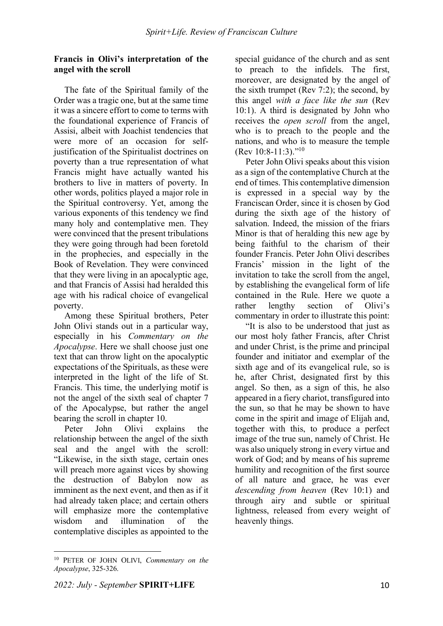#### **Francis in Olivi's interpretation of the angel with the scroll**

The fate of the Spiritual family of the Order was a tragic one, but at the same time it was a sincere effort to come to terms with the foundational experience of Francis of Assisi, albeit with Joachist tendencies that were more of an occasion for selfjustification of the Spiritualist doctrines on poverty than a true representation of what Francis might have actually wanted his brothers to live in matters of poverty. In other words, politics played a major role in the Spiritual controversy. Yet, among the various exponents of this tendency we find many holy and contemplative men. They were convinced that the present tribulations they were going through had been foretold in the prophecies, and especially in the Book of Revelation. They were convinced that they were living in an apocalyptic age, and that Francis of Assisi had heralded this age with his radical choice of evangelical poverty.

Among these Spiritual brothers, Peter John Olivi stands out in a particular way, especially in his *Commentary on the Apocalypse*. Here we shall choose just one text that can throw light on the apocalyptic expectations of the Spirituals, as these were interpreted in the light of the life of St. Francis. This time, the underlying motif is not the angel of the sixth seal of chapter 7 of the Apocalypse, but rather the angel bearing the scroll in chapter 10.

Peter John Olivi explains the relationship between the angel of the sixth seal and the angel with the scroll: "Likewise, in the sixth stage, certain ones will preach more against vices by showing the destruction of Babylon now as imminent as the next event, and then as if it had already taken place; and certain others will emphasize more the contemplative wisdom and illumination of the contemplative disciples as appointed to the special guidance of the church and as sent to preach to the infidels. The first, moreover, are designated by the angel of the sixth trumpet (Rev 7:2); the second, by this angel *with a face like the sun* (Rev 10:1). A third is designated by John who receives the *open scroll* from the angel, who is to preach to the people and the nations, and who is to measure the temple (Rev 10:8-11:3)."<sup>10</sup>

Peter John Olivi speaks about this vision as a sign of the contemplative Church at the end of times. This contemplative dimension is expressed in a special way by the Franciscan Order, since it is chosen by God during the sixth age of the history of salvation. Indeed, the mission of the friars Minor is that of heralding this new age by being faithful to the charism of their founder Francis. Peter John Olivi describes Francis' mission in the light of the invitation to take the scroll from the angel, by establishing the evangelical form of life contained in the Rule. Here we quote a rather lengthy section of Olivi's commentary in order to illustrate this point:

"It is also to be understood that just as our most holy father Francis, after Christ and under Christ, is the prime and principal founder and initiator and exemplar of the sixth age and of its evangelical rule, so is he, after Christ, designated first by this angel. So then, as a sign of this, he also appeared in a fiery chariot, transfigured into the sun, so that he may be shown to have come in the spirit and image of Elijah and, together with this, to produce a perfect image of the true sun, namely of Christ. He was also uniquely strong in every virtue and work of God; and by means of his supreme humility and recognition of the first source of all nature and grace, he was ever *descending from heaven* (Rev 10:1) and through airy and subtle or spiritual lightness, released from every weight of heavenly things.

<sup>10</sup> PETER OF JOHN OLIVI, *Commentary on the Apocalypse*, 325-326.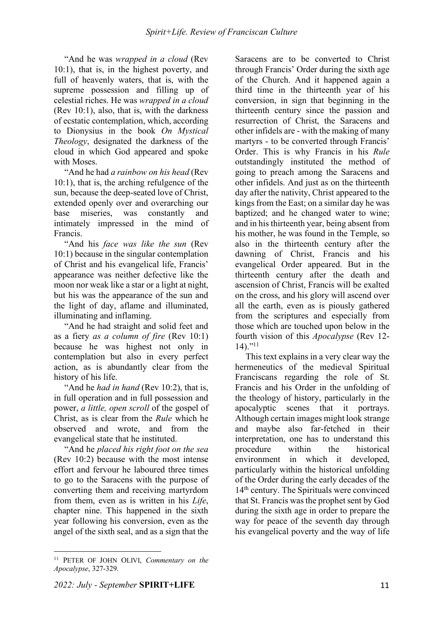"And he was *wrapped in a cloud* (Rev 10:1), that is, in the highest poverty, and full of heavenly waters, that is, with the supreme possession and filling up of celestial riches. He was *wrapped in a cloud*  (Rev 10:1), also, that is, with the darkness of ecstatic contemplation, which, according to Dionysius in the book *On Mystical Theology*, designated the darkness of the cloud in which God appeared and spoke with Moses.

"And he had *a rainbow on his head* (Rev 10:1), that is, the arching refulgence of the sun, because the deep-seated love of Christ, extended openly over and overarching our base miseries, was constantly and intimately impressed in the mind of Francis.

"And his *face was like the sun* (Rev 10:1) because in the singular contemplation of Christ and his evangelical life, Francis' appearance was neither defective like the moon nor weak like a star or a light at night, but his was the appearance of the sun and the light of day, aflame and illuminated, illuminating and inflaming.

"And he had straight and solid feet and as a fiery *as a column of fire* (Rev 10:1) because he was highest not only in contemplation but also in every perfect action, as is abundantly clear from the history of his life.

"And he *had in hand* (Rev 10:2), that is, in full operation and in full possession and power, *a little, open scroll* of the gospel of Christ, as is clear from the *Rule* which he observed and wrote, and from the evangelical state that he instituted.

"And he *placed his right foot on the sea*  (Rev 10:2) because with the most intense effort and fervour he laboured three times to go to the Saracens with the purpose of converting them and receiving martyrdom from them, even as is written in his *Life*, chapter nine. This happened in the sixth year following his conversion, even as the angel of the sixth seal, and as a sign that the

<sup>11</sup> PETER OF JOHN OLIVI, *Commentary on the Apocalypse*, 327-329.

Saracens are to be converted to Christ through Francis' Order during the sixth age of the Church. And it happened again a third time in the thirteenth year of his conversion, in sign that beginning in the thirteenth century since the passion and resurrection of Christ, the Saracens and other infidels are - with the making of many martyrs - to be converted through Francis' Order. This is why Francis in his *Rule*  outstandingly instituted the method of going to preach among the Saracens and other infidels. And just as on the thirteenth day after the nativity, Christ appeared to the kings from the East; on a similar day he was baptized; and he changed water to wine; and in his thirteenth year, being absent from his mother, he was found in the Temple, so also in the thirteenth century after the dawning of Christ, Francis and his evangelical Order appeared. But in the thirteenth century after the death and ascension of Christ, Francis will be exalted on the cross, and his glory will ascend over all the earth, even as is piously gathered from the scriptures and especially from those which are touched upon below in the fourth vision of this *Apocalypse* (Rev 12- 14)."11

This text explains in a very clear way the hermeneutics of the medieval Spiritual Franciscans regarding the role of St. Francis and his Order in the unfolding of the theology of history, particularly in the apocalyptic scenes that it portrays. Although certain images might look strange and maybe also far-fetched in their interpretation, one has to understand this procedure within the historical environment in which it developed, particularly within the historical unfolding of the Order during the early decades of the 14th century. The Spirituals were convinced that St. Francis was the prophet sent by God during the sixth age in order to prepare the way for peace of the seventh day through his evangelical poverty and the way of life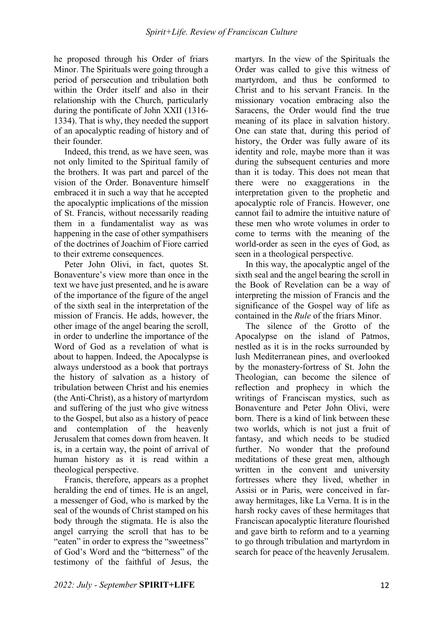he proposed through his Order of friars Minor. The Spirituals were going through a period of persecution and tribulation both within the Order itself and also in their relationship with the Church, particularly during the pontificate of John XXII (1316- 1334). That is why, they needed the support of an apocalyptic reading of history and of their founder.

Indeed, this trend, as we have seen, was not only limited to the Spiritual family of the brothers. It was part and parcel of the vision of the Order. Bonaventure himself embraced it in such a way that he accepted the apocalyptic implications of the mission of St. Francis, without necessarily reading them in a fundamentalist way as was happening in the case of other sympathisers of the doctrines of Joachim of Fiore carried to their extreme consequences.

Peter John Olivi, in fact, quotes St. Bonaventure's view more than once in the text we have just presented, and he is aware of the importance of the figure of the angel of the sixth seal in the interpretation of the mission of Francis. He adds, however, the other image of the angel bearing the scroll, in order to underline the importance of the Word of God as a revelation of what is about to happen. Indeed, the Apocalypse is always understood as a book that portrays the history of salvation as a history of tribulation between Christ and his enemies (the Anti-Christ), as a history of martyrdom and suffering of the just who give witness to the Gospel, but also as a history of peace and contemplation of the heavenly Jerusalem that comes down from heaven. It is, in a certain way, the point of arrival of human history as it is read within a theological perspective.

Francis, therefore, appears as a prophet heralding the end of times. He is an angel, a messenger of God, who is marked by the seal of the wounds of Christ stamped on his body through the stigmata. He is also the angel carrying the scroll that has to be "eaten" in order to express the "sweetness" of God's Word and the "bitterness" of the testimony of the faithful of Jesus, the martyrs. In the view of the Spirituals the Order was called to give this witness of martyrdom, and thus be conformed to Christ and to his servant Francis. In the missionary vocation embracing also the Saracens, the Order would find the true meaning of its place in salvation history. One can state that, during this period of history, the Order was fully aware of its identity and role, maybe more than it was during the subsequent centuries and more than it is today. This does not mean that there were no exaggerations in the interpretation given to the prophetic and apocalyptic role of Francis. However, one cannot fail to admire the intuitive nature of these men who wrote volumes in order to come to terms with the meaning of the world-order as seen in the eyes of God, as seen in a theological perspective.

In this way, the apocalyptic angel of the sixth seal and the angel bearing the scroll in the Book of Revelation can be a way of interpreting the mission of Francis and the significance of the Gospel way of life as contained in the *Rule* of the friars Minor.

The silence of the Grotto of the Apocalypse on the island of Patmos, nestled as it is in the rocks surrounded by lush Mediterranean pines, and overlooked by the monastery-fortress of St. John the Theologian, can become the silence of reflection and prophecy in which the writings of Franciscan mystics, such as Bonaventure and Peter John Olivi, were born. There is a kind of link between these two worlds, which is not just a fruit of fantasy, and which needs to be studied further. No wonder that the profound meditations of these great men, although written in the convent and university fortresses where they lived, whether in Assisi or in Paris, were conceived in faraway hermitages, like La Verna. It is in the harsh rocky caves of these hermitages that Franciscan apocalyptic literature flourished and gave birth to reform and to a yearning to go through tribulation and martyrdom in search for peace of the heavenly Jerusalem.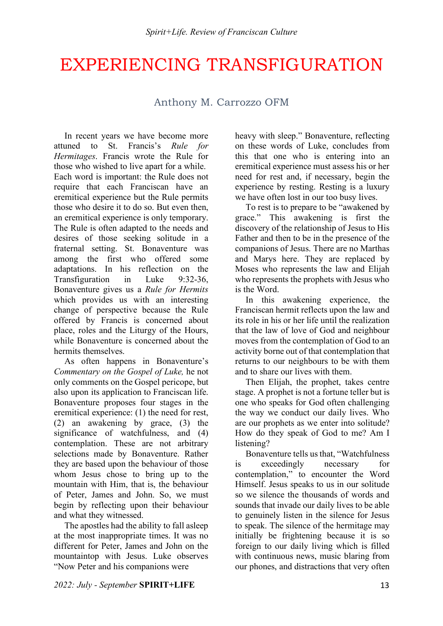## EXPERIENCING TRANSFIGURATION

## Anthony M. Carrozzo OFM

In recent years we have become more attuned to St. Francis's *Rule for Hermitages*. Francis wrote the Rule for those who wished to live apart for a while. Each word is important: the Rule does not require that each Franciscan have an eremitical experience but the Rule permits those who desire it to do so. But even then, an eremitical experience is only temporary. The Rule is often adapted to the needs and desires of those seeking solitude in a fraternal setting. St. Bonaventure was among the first who offered some adaptations. In his reflection on the Transfiguration in Luke 9:32-36, Bonaventure gives us a *Rule for Hermits* which provides us with an interesting change of perspective because the Rule offered by Francis is concerned about place, roles and the Liturgy of the Hours, while Bonaventure is concerned about the hermits themselves.

As often happens in Bonaventure's *Commentary on the Gospel of Luke,* he not only comments on the Gospel pericope, but also upon its application to Franciscan life. Bonaventure proposes four stages in the eremitical experience: (1) the need for rest, (2) an awakening by grace, (3) the significance of watchfulness, and (4) contemplation. These are not arbitrary selections made by Bonaventure. Rather they are based upon the behaviour of those whom Jesus chose to bring up to the mountain with Him, that is, the behaviour of Peter, James and John. So, we must begin by reflecting upon their behaviour and what they witnessed.

The apostles had the ability to fall asleep at the most inappropriate times. It was no different for Peter, James and John on the mountaintop with Jesus. Luke observes "Now Peter and his companions were

heavy with sleep." Bonaventure, reflecting on these words of Luke, concludes from this that one who is entering into an eremitical experience must assess his or her need for rest and, if necessary, begin the experience by resting. Resting is a luxury we have often lost in our too busy lives.

To rest is to prepare to be "awakened by grace." This awakening is first the discovery of the relationship of Jesus to His Father and then to be in the presence of the companions of Jesus. There are no Marthas and Marys here. They are replaced by Moses who represents the law and Elijah who represents the prophets with Jesus who is the Word.

In this awakening experience, the Franciscan hermit reflects upon the law and its role in his or her life until the realization that the law of love of God and neighbour moves from the contemplation of God to an activity borne out of that contemplation that returns to our neighbours to be with them and to share our lives with them.

Then Elijah, the prophet, takes centre stage. A prophet is not a fortune teller but is one who speaks for God often challenging the way we conduct our daily lives. Who are our prophets as we enter into solitude? How do they speak of God to me? Am I listening?

Bonaventure tells us that, "Watchfulness is exceedingly necessary for contemplation," to encounter the Word Himself. Jesus speaks to us in our solitude so we silence the thousands of words and sounds that invade our daily lives to be able to genuinely listen in the silence for Jesus to speak. The silence of the hermitage may initially be frightening because it is so foreign to our daily living which is filled with continuous news, music blaring from our phones, and distractions that very often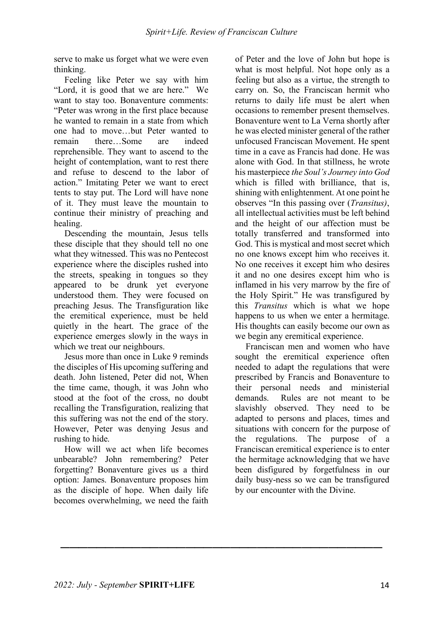serve to make us forget what we were even thinking.

Feeling like Peter we say with him "Lord, it is good that we are here." We want to stay too. Bonaventure comments: "Peter was wrong in the first place because he wanted to remain in a state from which one had to move…but Peter wanted to remain there…Some are indeed reprehensible. They want to ascend to the height of contemplation, want to rest there and refuse to descend to the labor of action." Imitating Peter we want to erect tents to stay put. The Lord will have none of it. They must leave the mountain to continue their ministry of preaching and healing.

Descending the mountain, Jesus tells these disciple that they should tell no one what they witnessed. This was no Pentecost experience where the disciples rushed into the streets, speaking in tongues so they appeared to be drunk yet everyone understood them. They were focused on preaching Jesus. The Transfiguration like the eremitical experience, must be held quietly in the heart. The grace of the experience emerges slowly in the ways in which we treat our neighbours.

Jesus more than once in Luke 9 reminds the disciples of His upcoming suffering and death. John listened, Peter did not, When the time came, though, it was John who stood at the foot of the cross, no doubt recalling the Transfiguration, realizing that this suffering was not the end of the story. However, Peter was denying Jesus and rushing to hide.

How will we act when life becomes unbearable? John remembering? Peter forgetting? Bonaventure gives us a third option: James. Bonaventure proposes him as the disciple of hope. When daily life becomes overwhelming, we need the faith

 $\frac{1}{2}$  ,  $\frac{1}{2}$  ,  $\frac{1}{2}$  ,  $\frac{1}{2}$  ,  $\frac{1}{2}$  ,  $\frac{1}{2}$  ,  $\frac{1}{2}$  ,  $\frac{1}{2}$  ,  $\frac{1}{2}$  ,  $\frac{1}{2}$  ,  $\frac{1}{2}$  ,  $\frac{1}{2}$  ,  $\frac{1}{2}$  ,  $\frac{1}{2}$  ,  $\frac{1}{2}$  ,  $\frac{1}{2}$  ,  $\frac{1}{2}$  ,  $\frac{1}{2}$  ,  $\frac{1$ 

of Peter and the love of John but hope is what is most helpful. Not hope only as a feeling but also as a virtue, the strength to carry on. So, the Franciscan hermit who returns to daily life must be alert when occasions to remember present themselves. Bonaventure went to La Verna shortly after he was elected minister general of the rather unfocused Franciscan Movement. He spent time in a cave as Francis had done. He was alone with God. In that stillness, he wrote his masterpiece *the Soul's Journey into God*  which is filled with brilliance, that is, shining with enlightenment. At one point he observes "In this passing over (*Transitus)*, all intellectual activities must be left behind and the height of our affection must be totally transferred and transformed into God. This is mystical and most secret which no one knows except him who receives it. No one receives it except him who desires it and no one desires except him who is inflamed in his very marrow by the fire of the Holy Spirit." He was transfigured by this *Transitus* which is what we hope happens to us when we enter a hermitage. His thoughts can easily become our own as we begin any eremitical experience.

Franciscan men and women who have sought the eremitical experience often needed to adapt the regulations that were prescribed by Francis and Bonaventure to their personal needs and ministerial demands. Rules are not meant to be slavishly observed. They need to be adapted to persons and places, times and situations with concern for the purpose of the regulations. The purpose of a Franciscan eremitical experience is to enter the hermitage acknowledging that we have been disfigured by forgetfulness in our daily busy-ness so we can be transfigured by our encounter with the Divine.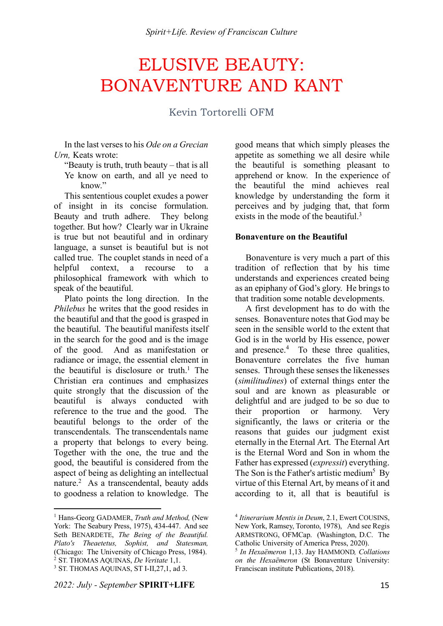## ELUSIVE BEAUTY: BONAVENTURE AND KANT

## Kevin Tortorelli OFM

In the last verses to his *Ode on a Grecian Urn,* Keats wrote:

"Beauty is truth, truth beauty – that is all Ye know on earth, and all ye need to know"

This sententious couplet exudes a power of insight in its concise formulation. Beauty and truth adhere. They belong together. But how? Clearly war in Ukraine is true but not beautiful and in ordinary language, a sunset is beautiful but is not called true. The couplet stands in need of a helpful context, a recourse to a philosophical framework with which to speak of the beautiful.

Plato points the long direction. In the *Philebus* he writes that the good resides in the beautiful and that the good is grasped in the beautiful. The beautiful manifests itself in the search for the good and is the image of the good. And as manifestation or radiance or image, the essential element in the beautiful is disclosure or truth.<sup>1</sup> The Christian era continues and emphasizes quite strongly that the discussion of the beautiful is always conducted with reference to the true and the good. The beautiful belongs to the order of the transcendentals. The transcendentals name a property that belongs to every being. Together with the one, the true and the good, the beautiful is considered from the aspect of being as delighting an intellectual nature.<sup>2</sup> As a transcendental, beauty adds to goodness a relation to knowledge. The

 $\overline{a}$ 

*2022: July - September* **SPIRIT+LIFE** 15

good means that which simply pleases the appetite as something we all desire while the beautiful is something pleasant to apprehend or know. In the experience of the beautiful the mind achieves real knowledge by understanding the form it perceives and by judging that, that form exists in the mode of the beautiful.<sup>3</sup>

#### **Bonaventure on the Beautiful**

Bonaventure is very much a part of this tradition of reflection that by his time understands and experiences created being as an epiphany of God's glory. He brings to that tradition some notable developments.

A first development has to do with the senses. Bonaventure notes that God may be seen in the sensible world to the extent that God is in the world by His essence, power and presence.<sup>4</sup> To these three qualities, Bonaventure correlates the five human senses. Through these senses the likenesses (*similitudines*) of external things enter the soul and are known as pleasurable or delightful and are judged to be so due to their proportion or harmony. Very significantly, the laws or criteria or the reasons that guides our judgment exist eternally in the Eternal Art. The Eternal Art is the Eternal Word and Son in whom the Father has expressed (*expressit*) everything. The Son is the Father's artistic medium<sup>5</sup> By virtue of this Eternal Art, by means of it and according to it, all that is beautiful is

<sup>1</sup> Hans-Georg GADAMER, *Truth and Method,* (New York: The Seabury Press, 1975), 434-447. And see Seth BENARDETE, *The Being of the Beautiful. Plato's Theaetetus, Sophist, and Statesman,* (Chicago: The University of Chicago Press, 1984). <sup>2</sup> ST. THOMAS AQUINAS, *De Veritate* 1,1. <sup>3</sup> ST. THOMAS AQUINAS, ST I-II, 27, 1, ad 3.

<sup>4</sup> *Itinerarium Mentis in Deum*, 2.1, Ewert COUSINS, New York, Ramsey, Toronto, 1978), And see Regis ARMSTRONG, OFMCap. (Washington, D.C. The Catholic University of America Press, 2020).

<sup>5</sup> *In Hexaëmeron* 1,13. Jay HAMMOND*, Collations on the Hexaëmeron* (St Bonaventure University: Franciscan institute Publications, 2018).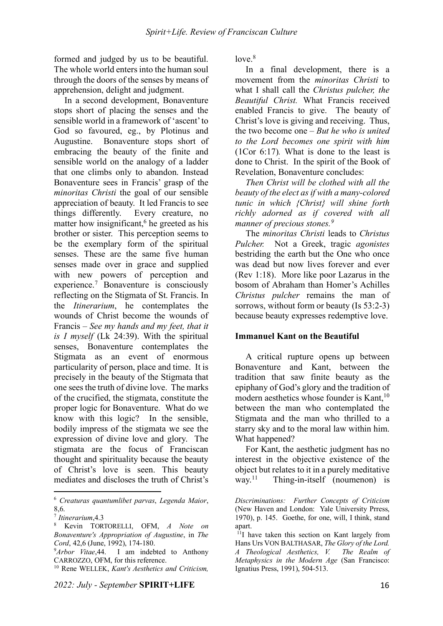formed and judged by us to be beautiful. The whole world enters into the human soul through the doors of the senses by means of apprehension, delight and judgment.

In a second development, Bonaventure stops short of placing the senses and the sensible world in a framework of 'ascent'to God so favoured, eg., by Plotinus and Augustine. Bonaventure stops short of embracing the beauty of the finite and sensible world on the analogy of a ladder that one climbs only to abandon. Instead Bonaventure sees in Francis' grasp of the *minoritas Christi* the goal of our sensible appreciation of beauty. It led Francis to see things differently. Every creature, no matter how insignificant, <sup>6</sup> he greeted as his brother or sister. This perception seems to be the exemplary form of the spiritual senses. These are the same five human senses made over in grace and supplied with new powers of perception and experience.7 Bonaventure is consciously reflecting on the Stigmata of St. Francis. In the *Itinerarium*, he contemplates the wounds of Christ become the wounds of Francis – *See my hands and my feet, that it is I myself* (Lk 24:39). With the spiritual senses, Bonaventure contemplates the Stigmata as an event of enormous particularity of person, place and time. It is precisely in the beauty of the Stigmata that one sees the truth of divine love. The marks of the crucified, the stigmata, constitute the proper logic for Bonaventure. What do we know with this logic? In the sensible, bodily impress of the stigmata we see the expression of divine love and glory. The stigmata are the focus of Franciscan thought and spirituality because the beauty of Christ's love is seen. This beauty mediates and discloses the truth of Christ's

<sup>6</sup> *Creaturas quantumlibet parvas*, *Legenda Maior*, 8,6.

 $\overline{a}$ 

 $love.<sup>8</sup>$ 

In a final development, there is a movement from the *minoritas Christi* to what I shall call the *Christus pulcher, the Beautiful Christ.* What Francis received enabled Francis to give. The beauty of Christ's love is giving and receiving. Thus, the two become one – *But he who is united to the Lord becomes one spirit with him*  (1Cor 6:17)*.* What is done to the least is done to Christ. In the spirit of the Book of Revelation, Bonaventure concludes:

*Then Christ will be clothed with all the beauty of the elect as if with a many-colored tunic in which {Christ} will shine forth richly adorned as if covered with all manner of precious stones.9*

The *minoritas Christi* leads to *Christus Pulcher.* Not a Greek, tragic *agonistes* bestriding the earth but the One who once was dead but now lives forever and ever (Rev 1:18). More like poor Lazarus in the bosom of Abraham than Homer's Achilles *Christus pulcher* remains the man of sorrows, without form or beauty (Is 53:2-3) because beauty expresses redemptive love.

#### **Immanuel Kant on the Beautiful**

A critical rupture opens up between Bonaventure and Kant, between the tradition that saw finite beauty as the epiphany of God's glory and the tradition of modern aesthetics whose founder is Kant,<sup>10</sup> between the man who contemplated the Stigmata and the man who thrilled to a starry sky and to the moral law within him. What happened?

For Kant, the aesthetic judgment has no interest in the objective existence of the object but relates to it in a purely meditative way.<sup>11</sup> Thing-in-itself (noumenon) is

<sup>7</sup> *Itinerarium*,4.3

<sup>8</sup> Kevin TORTORELLI, OFM, *A Note on Bonaventure's Appropriation of Augustine*, in *The Cord*, 42,6 (June, 1992), 174-180.

<sup>&</sup>lt;sup>9</sup>Arbor Vitae, 44. I am indebted to Anthony CARROZZO, OFM, for this reference.

<sup>10</sup> Rene WELLEK, *Kant's Aesthetics and Criticism,*

*Discriminations: Further Concepts of Criticism* (New Haven and London: Yale University Prress, 1970), p. 145. Goethe, for one, will, I think, stand apart

<sup>11</sup>I have taken this section on Kant largely from Hans Urs VON BALTHASAR, *The Glory of the Lord. A Theological Aesthetics, V. The Realm of Metaphysics in the Modern Age* (San Francisco: Ignatius Press, 1991), 504-513.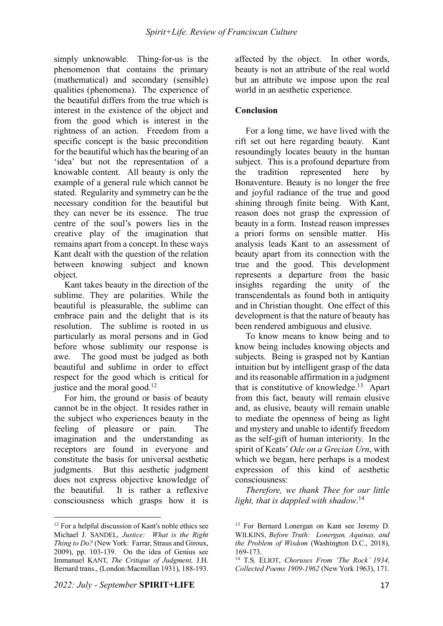simply unknowable. Thing-for-us is the phenomenon that contains the primary (mathematical) and secondary (sensible) qualities (phenomena). The experience of the beautiful differs from the true which is interest in the existence of the object and from the good which is interest in the rightness of an action. Freedom from a specific concept is the basic precondition for the beautiful which has the bearing of an 'idea' but not the representation of a knowable content. All beauty is only the example of a general rule which cannot be stated. Regularity and symmetry can be the necessary condition for the beautiful but they can never be its essence. The true centre of the soul's powers lies in the creative play of the imagination that remains apart from a concept. In these ways Kant dealt with the question of the relation between knowing subject and known object.

Kant takes beauty in the direction of the sublime. They are polarities. While the beautiful is pleasurable, the sublime can embrace pain and the delight that is its resolution. The sublime is rooted in us particularly as moral persons and in God before whose sublimity our response is awe. The good must be judged as both beautiful and sublime in order to effect respect for the good which is critical for justice and the moral good.<sup>12</sup>

For him, the ground or basis of beauty cannot be in the object. It resides rather in the subject who experiences beauty in the feeling of pleasure or pain. The imagination and the understanding as receptors are found in everyone and constitute the basis for universal aesthetic judgments. But this aesthetic judgment does not express objective knowledge of the beautiful. It is rather a reflexive consciousness which grasps how it is affected by the object. In other words, beauty is not an attribute of the real world but an attribute we impose upon the real world in an aesthetic experience.

### **Conclusion**

For a long time, we have lived with the rift set out here regarding beauty. Kant resoundingly locates beauty in the human subject. This is a profound departure from the tradition represented here by Bonaventure. Beauty is no longer the free and joyful radiance of the true and good shining through finite being. With Kant, reason does not grasp the expression of beauty in a form. Instead reason impresses a priori forms on sensible matter. His analysis leads Kant to an assessment of beauty apart from its connection with the true and the good. This development represents a departure from the basic insights regarding the unity of the transcendentals as found both in antiquity and in Christian thought. One effect of this development is that the nature of beauty has been rendered ambiguous and elusive.

To know means to know being and to know being includes knowing objects and subjects. Being is grasped not by Kantian intuition but by intelligent grasp of the data and its reasonable affirmation in a judgment that is constitutive of knowledge. 13 Apart from this fact, beauty will remain elusive and, as elusive, beauty will remain unable to mediate the openness of being as light and mystery and unable to identify freedom as the self-gift of human interiority. In the spirit of Keats' *Ode on a Grecian Urn*, with which we began, here perhaps is a modest expression of this kind of aesthetic consciousness:

*Therefore, we thank Thee for our little light, that is dappled with shadow*. 14

 $\overline{a}$  $12$  For a helpful discussion of Kant's noble ethics see Michael J. SANDEL, *Justice: What is the Right Thing to Do?* (New York: Farrar, Straus and Giroux, 2009), pp. 103-139. On the idea of Genius see Immanuel KANT, *The Critique of Judgment,* J.H. Bernard trans., (London:Macmillan 1931), 188-193.

<sup>&</sup>lt;sup>13</sup> For Bernard Lonergan on Kant see Jeremy D. WILKINS, *Before Truth: Lonergan, Aquinas, and the Problem of Wisdom* (Washington D.C., 2018), 169-173.

<sup>14</sup> T.S. ELIOT, *Choruses From 'The Rock' 1934, Collected Poems 1909-1962* (New York 1963), 171.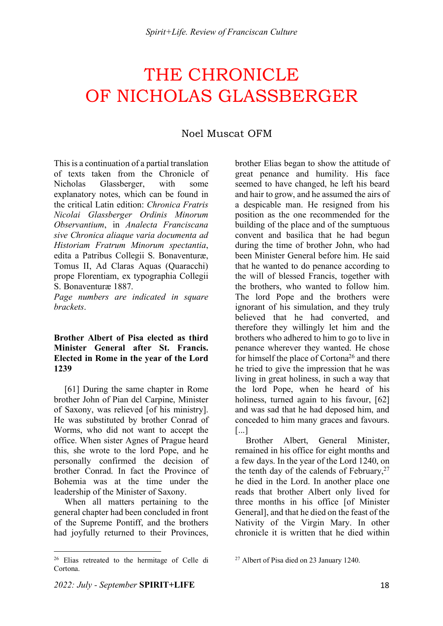# THE CHRONICLE OF NICHOLAS GLASSBERGER

## Noel Muscat OFM

This is a continuation of a partial translation of texts taken from the Chronicle of Nicholas Glassberger, with some explanatory notes, which can be found in the critical Latin edition: *Chronica Fratris Nicolai Glassberger Ordinis Minorum Observantium*, in *Analecta Franciscana sive Chronica aliaque varia documenta ad Historiam Fratrum Minorum spectantia*, edita a Patribus Collegii S. Bonaventuræ, Tomus II, Ad Claras Aquas (Quaracchi) prope Florentiam, ex typographia Collegii S. Bonaventuræ 1887.

*Page numbers are indicated in square brackets*.

#### **Brother Albert of Pisa elected as third Minister General after St. Francis. Elected in Rome in the year of the Lord 1239**

[61] During the same chapter in Rome brother John of Pian del Carpine, Minister of Saxony, was relieved [of his ministry]. He was substituted by brother Conrad of Worms, who did not want to accept the office. When sister Agnes of Prague heard this, she wrote to the lord Pope, and he personally confirmed the decision of brother Conrad. In fact the Province of Bohemia was at the time under the leadership of the Minister of Saxony.

When all matters pertaining to the general chapter had been concluded in front of the Supreme Pontiff, and the brothers had joyfully returned to their Provinces,

 $\overline{a}$ <sup>26</sup> Elias retreated to the hermitage of Celle di brother Elias began to show the attitude of great penance and humility. His face seemed to have changed, he left his beard and hair to grow, and he assumed the airs of a despicable man. He resigned from his position as the one recommended for the building of the place and of the sumptuous convent and basilica that he had begun during the time of brother John, who had been Minister General before him. He said that he wanted to do penance according to the will of blessed Francis, together with the brothers, who wanted to follow him. The lord Pope and the brothers were ignorant of his simulation, and they truly believed that he had converted, and therefore they willingly let him and the brothers who adhered to him to go to live in penance wherever they wanted. He chose for himself the place of Cortona<sup>26</sup> and there he tried to give the impression that he was living in great holiness, in such a way that the lord Pope, when he heard of his holiness, turned again to his favour, [62] and was sad that he had deposed him, and conceded to him many graces and favours. [...]

Brother Albert, General Minister remained in his office for eight months and a few days. In the year of the Lord 1240, on the tenth day of the calends of February,  $27$ he died in the Lord. In another place one reads that brother Albert only lived for three months in his office [of Minister General], and that he died on the feast of the Nativity of the Virgin Mary. In other chronicle it is written that he died within

Cortona.

<sup>27</sup> Albert of Pisa died on 23 January 1240.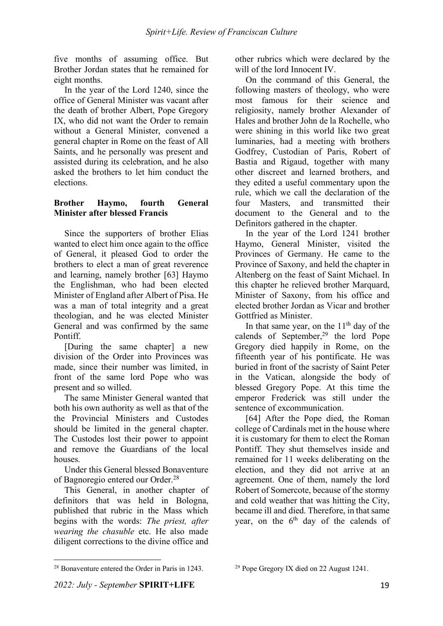five months of assuming office. But Brother Jordan states that he remained for eight months.

In the year of the Lord 1240, since the office of General Minister was vacant after the death of brother Albert, Pope Gregory IX, who did not want the Order to remain without a General Minister, convened a general chapter in Rome on the feast of All Saints, and he personally was present and assisted during its celebration, and he also asked the brothers to let him conduct the elections.

### **Brother Haymo, fourth General Minister after blessed Francis**

Since the supporters of brother Elias wanted to elect him once again to the office of General, it pleased God to order the brothers to elect a man of great reverence and learning, namely brother [63] Haymo the Englishman, who had been elected Minister of England after Albert of Pisa. He was a man of total integrity and a great theologian, and he was elected Minister General and was confirmed by the same Pontiff.

[During the same chapter] a new division of the Order into Provinces was made, since their number was limited, in front of the same lord Pope who was present and so willed.

The same Minister General wanted that both his own authority as well as that of the the Provincial Ministers and Custodes should be limited in the general chapter. The Custodes lost their power to appoint and remove the Guardians of the local houses.

Under this General blessed Bonaventure of Bagnoregio entered our Order.28

This General, in another chapter of definitors that was held in Bologna, published that rubric in the Mass which begins with the words: *The priest, after wearing the chasuble* etc. He also made diligent corrections to the divine office and other rubrics which were declared by the will of the lord Innocent IV.

On the command of this General, the following masters of theology, who were most famous for their science and religiosity, namely brother Alexander of Hales and brother John de la Rochelle, who were shining in this world like two great luminaries, had a meeting with brothers Godfrey, Custodian of Paris, Robert of Bastia and Rigaud, together with many other discreet and learned brothers, and they edited a useful commentary upon the rule, which we call the declaration of the four Masters, and transmitted their document to the General and to the Definitors gathered in the chapter.

In the year of the Lord 1241 brother Haymo, General Minister, visited the Provinces of Germany. He came to the Province of Saxony, and held the chapter in Altenberg on the feast of Saint Michael. In this chapter he relieved brother Marquard, Minister of Saxony, from his office and elected brother Jordan as Vicar and brother Gottfried as Minister.

In that same year, on the  $11<sup>th</sup>$  day of the calends of September, $29$  the lord Pope Gregory died happily in Rome, on the fifteenth year of his pontificate. He was buried in front of the sacristy of Saint Peter in the Vatican, alongside the body of blessed Gregory Pope. At this time the emperor Frederick was still under the sentence of excommunication.

[64] After the Pope died, the Roman college of Cardinals met in the house where it is customary for them to elect the Roman Pontiff. They shut themselves inside and remained for 11 weeks deliberating on the election, and they did not arrive at an agreement. One of them, namely the lord Robert of Somercote, because of the stormy and cold weather that was hitting the City, became ill and died. Therefore, in that same year, on the  $6<sup>th</sup>$  day of the calends of

<sup>&</sup>lt;sup>28</sup> Bonaventure entered the Order in Paris in 1243.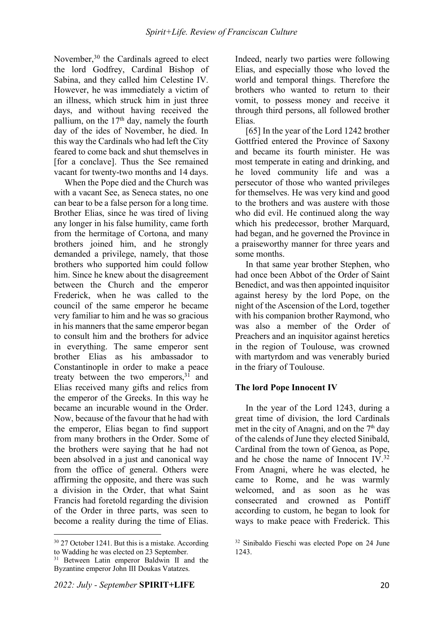November,<sup>30</sup> the Cardinals agreed to elect the lord Godfrey, Cardinal Bishop of Sabina, and they called him Celestine IV. However, he was immediately a victim of an illness, which struck him in just three days, and without having received the pallium, on the  $17<sup>th</sup>$  day, namely the fourth day of the ides of November, he died. In this way the Cardinals who had left the City feared to come back and shut themselves in [for a conclave]. Thus the See remained vacant for twenty-two months and 14 days.

When the Pope died and the Church was with a vacant See, as Seneca states, no one can bear to be a false person for a long time. Brother Elias, since he was tired of living any longer in his false humility, came forth from the hermitage of Cortona, and many brothers joined him, and he strongly demanded a privilege, namely, that those brothers who supported him could follow him. Since he knew about the disagreement between the Church and the emperor Frederick, when he was called to the council of the same emperor he became very familiar to him and he was so gracious in his manners that the same emperor began to consult him and the brothers for advice in everything. The same emperor sent brother Elias as his ambassador to Constantinople in order to make a peace treaty between the two emperors, $31$  and Elias received many gifts and relics from the emperor of the Greeks. In this way he became an incurable wound in the Order. Now, because of the favour that he had with the emperor, Elias began to find support from many brothers in the Order. Some of the brothers were saying that he had not been absolved in a just and canonical way from the office of general. Others were affirming the opposite, and there was such a division in the Order, that what Saint Francis had foretold regarding the division of the Order in three parts, was seen to become a reality during the time of Elias.

 $\overline{a}$ 

Indeed, nearly two parties were following Elias, and especially those who loved the world and temporal things. Therefore the brothers who wanted to return to their vomit, to possess money and receive it through third persons, all followed brother Elias.

[65] In the year of the Lord 1242 brother Gottfried entered the Province of Saxony and became its fourth minister. He was most temperate in eating and drinking, and he loved community life and was a persecutor of those who wanted privileges for themselves. He was very kind and good to the brothers and was austere with those who did evil. He continued along the way which his predecessor, brother Marquard, had began, and he governed the Province in a praiseworthy manner for three years and some months.

In that same year brother Stephen, who had once been Abbot of the Order of Saint Benedict, and was then appointed inquisitor against heresy by the lord Pope, on the night of the Ascension of the Lord, together with his companion brother Raymond, who was also a member of the Order of Preachers and an inquisitor against heretics in the region of Toulouse, was crowned with martyrdom and was venerably buried in the friary of Toulouse.

### **The lord Pope Innocent IV**

In the year of the Lord 1243, during a great time of division, the lord Cardinals met in the city of Anagni, and on the  $7<sup>th</sup>$  day of the calends of June they elected Sinibald, Cardinal from the town of Genoa, as Pope, and he chose the name of Innocent IV.32 From Anagni, where he was elected, he came to Rome, and he was warmly welcomed, and as soon as he was consecrated and crowned as Pontiff according to custom, he began to look for ways to make peace with Frederick. This

<sup>30</sup> 27 October 1241. But this is a mistake. According to Wadding he was elected on 23 September.

<sup>&</sup>lt;sup>31</sup> Between Latin emperor Baldwin II and the Byzantine emperor John III Doukas Vatatzes.

<sup>32</sup> Sinibaldo Fieschi was elected Pope on 24 June 1243.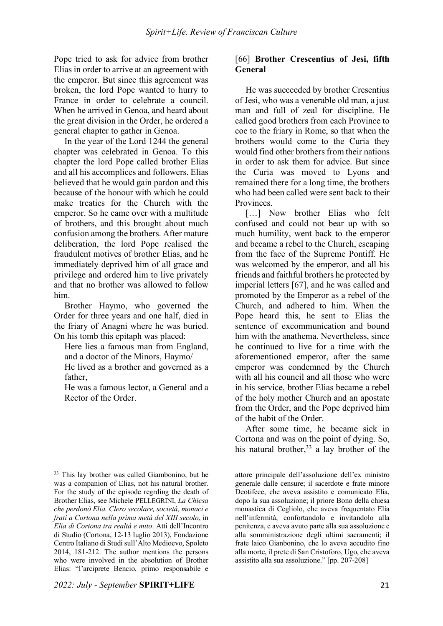Pope tried to ask for advice from brother Elias in order to arrive at an agreement with the emperor. But since this agreement was broken, the lord Pope wanted to hurry to France in order to celebrate a council. When he arrived in Genoa, and heard about the great division in the Order, he ordered a general chapter to gather in Genoa.

In the year of the Lord 1244 the general chapter was celebrated in Genoa. To this chapter the lord Pope called brother Elias and all his accomplices and followers. Elias believed that he would gain pardon and this because of the honour with which he could make treaties for the Church with the emperor. So he came over with a multitude of brothers, and this brought about much confusion among the brothers. After mature deliberation, the lord Pope realised the fraudulent motives of brother Elias, and he immediately deprived him of all grace and privilege and ordered him to live privately and that no brother was allowed to follow him.

Brother Haymo, who governed the Order for three years and one half, died in the friary of Anagni where he was buried. On his tomb this epitaph was placed:

Here lies a famous man from England, and a doctor of the Minors, Haymo/ He lived as a brother and governed as a father,

He was a famous lector, a General and a Rector of the Order.

#### [66] **Brother Crescentius of Jesi, fifth General**

He was succeeded by brother Cresentius of Jesi, who was a venerable old man, a just man and full of zeal for discipline. He called good brothers from each Province to coe to the friary in Rome, so that when the brothers would come to the Curia they would find other brothers from their nations in order to ask them for advice. But since the Curia was moved to Lyons and remained there for a long time, the brothers who had been called were sent back to their **Provinces** 

[...] Now brother Elias who felt confused and could not bear up with so much humility, went back to the emperor and became a rebel to the Church, escaping from the face of the Supreme Pontiff. He was welcomed by the emperor, and all his friends and faithful brothers he protected by imperial letters [67], and he was called and promoted by the Emperor as a rebel of the Church, and adhered to him. When the Pope heard this, he sent to Elias the sentence of excommunication and bound him with the anathema. Nevertheless, since he continued to live for a time with the aforementioned emperor, after the same emperor was condemned by the Church with all his council and all those who were in his service, brother Elias became a rebel of the holy mother Church and an apostate from the Order, and the Pope deprived him of the habit of the Order.

After some time, he became sick in Cortona and was on the point of dying. So, his natural brother,<sup>33</sup> a lay brother of the

 $\overline{a}$ <sup>33</sup> This lay brother was called Giambonino, but he was a companion of Elias, not his natural brother. For the study of the episode regrding the death of Brother Elias, see Michele PELLEGRINI, *La Chiesa che perdonò Elia. Clero secolare, società, monaci e frati a Cortona nella prima metà del XIII secolo*, in *Elia di Cortona tra realtà e mito*. Atti dell'Incontro di Studio (Cortona, 12-13 luglio 2013), Fondazione Centro Italiano di Studi sull'Alto Medioevo, Spoleto 2014, 181-212. The author mentions the persons who were involved in the absolution of Brother Elias: "l'arciprete Bencio, primo responsabile e

attore principale dell'assoluzione dell'ex ministro generale dalle censure; il sacerdote e frate minore Deotifece, che aveva assistito e comunicato Elia, dopo la sua assoluzione; il priore Bono della chiesa monastica di Cegliolo, che aveva frequentato Elia nell'infermità, confortandolo e invitandolo alla penitenza, e aveva avuto parte alla sua assoluzione e alla somministrazione degli ultimi sacramenti; il frate laico Gianbonino, che lo aveva accudito fino alla morte, il prete di San Cristoforo, Ugo, che aveva assistito alla sua assoluzione." [pp. 207-208]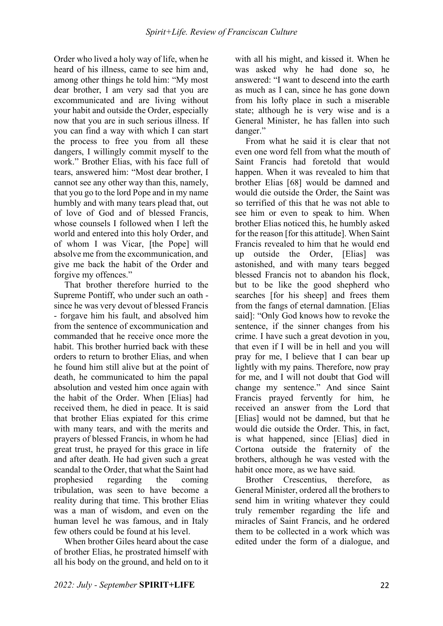Order who lived a holy way of life, when he heard of his illness, came to see him and, among other things he told him: "My most dear brother, I am very sad that you are excommunicated and are living without your habit and outside the Order, especially now that you are in such serious illness. If you can find a way with which I can start the process to free you from all these dangers, I willingly commit myself to the work." Brother Elias, with his face full of tears, answered him: "Most dear brother, I cannot see any other way than this, namely, that you go to the lord Pope and in my name humbly and with many tears plead that, out of love of God and of blessed Francis, whose counsels I followed when I left the world and entered into this holy Order, and of whom I was Vicar, [the Pope] will absolve me from the excommunication, and give me back the habit of the Order and forgive my offences."

That brother therefore hurried to the Supreme Pontiff, who under such an oath since he was very devout of blessed Francis - forgave him his fault, and absolved him from the sentence of excommunication and commanded that he receive once more the habit. This brother hurried back with these orders to return to brother Elias, and when he found him still alive but at the point of death, he communicated to him the papal absolution and vested him once again with the habit of the Order. When [Elias] had received them, he died in peace. It is said that brother Elias expiated for this crime with many tears, and with the merits and prayers of blessed Francis, in whom he had great trust, he prayed for this grace in life and after death. He had given such a great scandal to the Order, that what the Saint had prophesied regarding the coming tribulation, was seen to have become a reality during that time. This brother Elias was a man of wisdom, and even on the human level he was famous, and in Italy few others could be found at his level.

When brother Giles heard about the case of brother Elias, he prostrated himself with all his body on the ground, and held on to it with all his might, and kissed it. When he was asked why he had done so, he answered: "I want to descend into the earth as much as I can, since he has gone down from his lofty place in such a miserable state; although he is very wise and is a General Minister, he has fallen into such danger."

From what he said it is clear that not even one word fell from what the mouth of Saint Francis had foretold that would happen. When it was revealed to him that brother Elias [68] would be damned and would die outside the Order, the Saint was so terrified of this that he was not able to see him or even to speak to him. When brother Elias noticed this, he humbly asked for the reason [for this attitude]. When Saint Francis revealed to him that he would end up outside the Order, [Elias] was astonished, and with many tears begged blessed Francis not to abandon his flock, but to be like the good shepherd who searches [for his sheep] and frees them from the fangs of eternal damnation. [Elias said]: "Only God knows how to revoke the sentence, if the sinner changes from his crime. I have such a great devotion in you, that even if I will be in hell and you will pray for me, I believe that I can bear up lightly with my pains. Therefore, now pray for me, and I will not doubt that God will change my sentence." And since Saint Francis prayed fervently for him, he received an answer from the Lord that [Elias] would not be damned, but that he would die outside the Order. This, in fact, is what happened, since [Elias] died in Cortona outside the fraternity of the brothers, although he was vested with the habit once more, as we have said.

Brother Crescentius, therefore, as General Minister, ordered all the brothers to send him in writing whatever they could truly remember regarding the life and miracles of Saint Francis, and he ordered them to be collected in a work which was edited under the form of a dialogue, and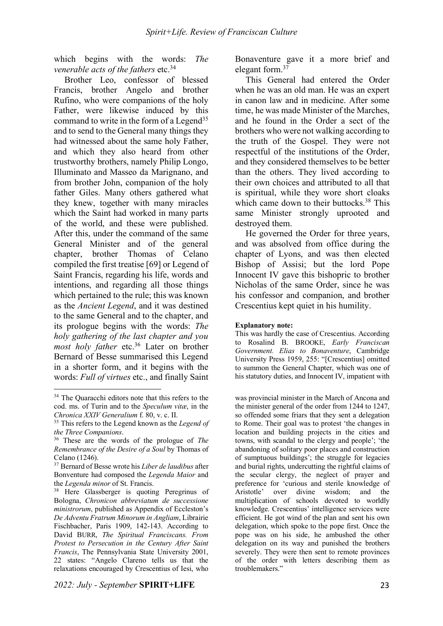which begins with the words: *The venerable acts of the fathers etc.*<sup>34</sup>

Brother Leo, confessor of blessed Francis, brother Angelo and brother Rufino, who were companions of the holy Father, were likewise induced by this command to write in the form of a Legend<sup>35</sup> and to send to the General many things they had witnessed about the same holy Father, and which they also heard from other trustworthy brothers, namely Philip Longo, Illuminato and Masseo da Marignano, and from brother John, companion of the holy father Giles. Many others gathered what they knew, together with many miracles which the Saint had worked in many parts of the world, and these were published. After this, under the command of the same General Minister and of the general chapter, brother Thomas of Celano compiled the first treatise [69] or Legend of Saint Francis, regarding his life, words and intentions, and regarding all those things which pertained to the rule; this was known as the *Ancient Legend*, and it was destined to the same General and to the chapter, and its prologue begins with the words: *The holy gathering of the last chapter and you most holy father* etc.<sup>36</sup> Later on brother Bernard of Besse summarised this Legend in a shorter form, and it begins with the words: *Full of virtues* etc., and finally Saint

 $\overline{a}$ 

*2022: July - September* **SPIRIT+LIFE** 23

Bonaventure gave it a more brief and elegant form.37

This General had entered the Order when he was an old man. He was an expert in canon law and in medicine. After some time, he was made Minister of the Marches, and he found in the Order a sect of the brothers who were not walking according to the truth of the Gospel. They were not respectful of the institutions of the Order, and they considered themselves to be better than the others. They lived according to their own choices and attributed to all that is spiritual, while they wore short cloaks which came down to their buttocks.<sup>38</sup> This same Minister strongly uprooted and destroyed them.

He governed the Order for three years, and was absolved from office during the chapter of Lyons, and was then elected Bishop of Assisi; but the lord Pope Innocent IV gave this bishopric to brother Nicholas of the same Order, since he was his confessor and companion, and brother Crescentius kept quiet in his humility.

#### **Explanatory note:**

This was hardly the case of Crescentius. According to Rosalind B. BROOKE, *Early Franciscan Government. Elias to Bonaventure*, Cambridge University Press 1959, 255: "[Crescentius] omitted to summon the General Chapter, which was one of his statutory duties, and Innocent IV, impatient with

was provincial minister in the March of Ancona and the minister general of the order from 1244 to 1247, so offended some friars that they sent a delegation to Rome. Their goal was to protest 'the changes in location and building projects in the cities and towns, with scandal to the clergy and people'; 'the abandoning of solitary poor places and construction of sumptuous buildings'; the struggle for legacies and burial rights, undercutting the rightful claims of the secular clergy, the neglect of prayer and preference for 'curious and sterile knowledge of Aristotle' over divine wisdom; and the multiplication of schools devoted to worldly knowledge. Crescentius' intelligence services were efficient. He got wind of the plan and sent his own delegation, which spoke to the pope first. Once the pope was on his side, he ambushed the other delegation on its way and punished the brothers severely. They were then sent to remote provinces of the order with letters describing them as troublemakers."

<sup>&</sup>lt;sup>34</sup> The Quaracchi editors note that this refers to the cod. ms. of Turin and to the *Speculum vitæ*, in the *Chronica XXIV Generalium* f. 80, v. c. II.

<sup>35</sup> This refers to the Legend known as the *Legend of the Three Companions*.

<sup>36</sup> These are the words of the prologue of *The Remembrance of the Desire of a Soul* by Thomas of Celano (1246).

<sup>37</sup> Bernard of Besse wrote his *Liber de laudibus* after Bonventure had composed the *Legenda Maior* and the *Legenda minor* of St. Francis.

<sup>&</sup>lt;sup>38</sup> Here Glassberger is quoting Peregrinus of Bologna, *Chronicon abbreviatum de successione ministrorum*, published as Appendix of Eccleston's *De Adventu Fratrum Minorum in Angliam*, Librairie Fischbacher, Paris 1909, 142-143. According to David BURR, *The Spiritual Franciscans. From Protest to Persecution in the Century After Saint Francis*, The Pennsylvania State University 2001, 22 states: "Angelo Clareno tells us that the relaxations encouraged by Crescentius of Iesi, who